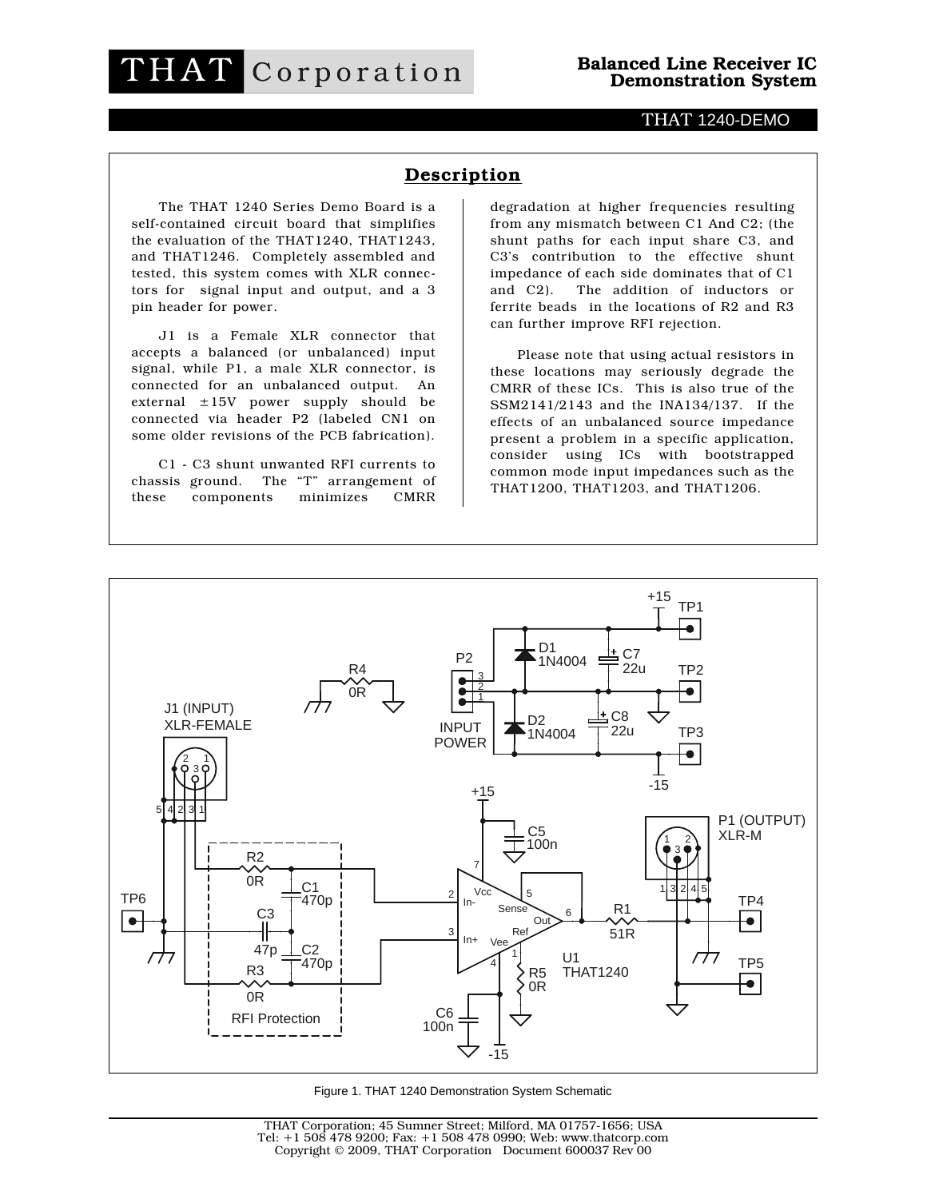## THAT Corporation

## THAT 1240-DEMO

## Description

The THAT 1240 Series Demo Board is a self-contained circuit board that simplifies the evaluation of the THAT1240, THAT1243, and THAT1246. Completely assembled and tested, this system comes with XLR connectors for signal input and output, and a 3 pin header for power.

J1 is a Female XLR connector that accepts a balanced (or unbalanced) input signal, while P1, a male XLR connector, is connected for an unbalanced output. An external ±15V power supply should be connected via header P2 (labeled CN1 on some older revisions of the PCB fabrication).

C1 - C3 shunt unwanted RFI currents to chassis ground. The "T" arrangement of these components minimizes CMRR

degradation at higher frequencies resulting from any mismatch between C1 And C2; (the shunt paths for each input share C3, and C3's contribution to the effective shunt impedance of each side dominates that of C1 and C2). The addition of inductors or ferrite beads in the locations of R2 and R3 can further improve RFI rejection.

Please note that using actual resistors in these locations may seriously degrade the CMRR of these ICs. This is also true of the SSM2141/2143 and the INA134/137. If the effects of an unbalanced source impedance present a problem in a specific application, consider using ICs with bootstrapped common mode input impedances such as the THAT1200, THAT1203, and THAT1206.



Figure 1. THAT 1240 Demonstration System Schematic